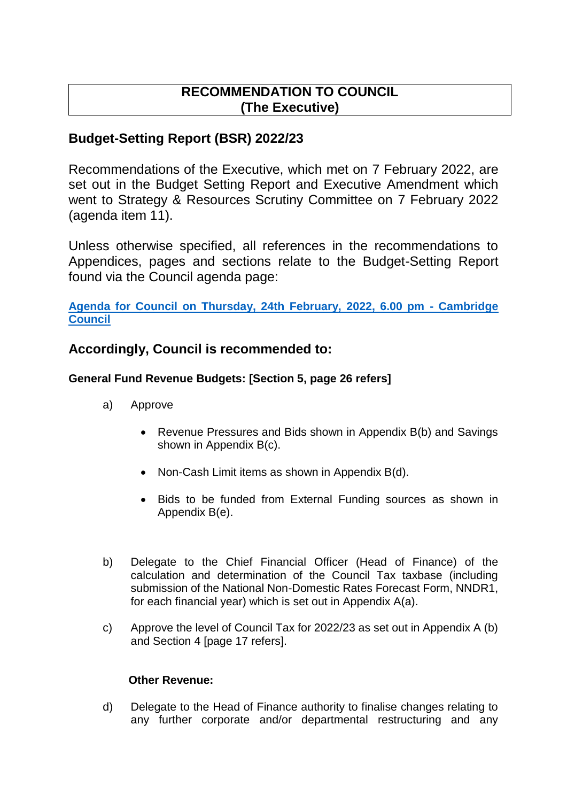# **RECOMMENDATION TO COUNCIL (The Executive)**

# **Budget-Setting Report (BSR) 2022/23**

Recommendations of the Executive, which met on 7 February 2022, are set out in the Budget Setting Report and Executive Amendment which went to Strategy & Resources Scrutiny Committee on 7 February 2022 (agenda item 11).

Unless otherwise specified, all references in the recommendations to Appendices, pages and sections relate to the Budget-Setting Report found via the Council agenda page:

**[Agenda for Council on Thursday, 24th February, 2022, 6.00 pm -](https://democracy.cambridge.gov.uk/ieListDocuments.aspx?CId=116&MId=3965) Cambridge [Council](https://democracy.cambridge.gov.uk/ieListDocuments.aspx?CId=116&MId=3965)**

## **Accordingly, Council is recommended to:**

## **General Fund Revenue Budgets: [Section 5, page 26 refers]**

- a) Approve
	- Revenue Pressures and Bids shown in Appendix B(b) and Savings shown in Appendix B(c).
	- Non-Cash Limit items as shown in Appendix B(d).
	- Bids to be funded from External Funding sources as shown in Appendix B(e).
- b) Delegate to the Chief Financial Officer (Head of Finance) of the calculation and determination of the Council Tax taxbase (including submission of the National Non-Domestic Rates Forecast Form, NNDR1, for each financial year) which is set out in Appendix A(a).
- c) Approve the level of Council Tax for 2022/23 as set out in Appendix A (b) and Section 4 [page 17 refers].

## **Other Revenue:**

d) Delegate to the Head of Finance authority to finalise changes relating to any further corporate and/or departmental restructuring and any